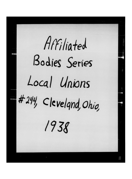Affiliated Bodies Series Local Unions #244, Cleveland, Ohio,  $1938$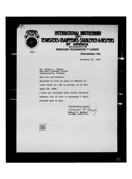

## INTERNATIONAL BROTHERHOD TEANSTERS CRAUTTEURS STABLEMEN & HELPERS OF AMERICA AFFtUATED W!TW THE **AMERICAN FEDERATION OF LABOR**

 $(1, 0)$  25

## INDIANAPOLIS. IND.

November 29, 1938

Mr. Thomas L. Hughes 222 East Michigan Street Indianapolis, Indiana

Dear Sir and Brother:

Enclosed is list of names of members of

Local Union No. 244 on strike, as of Nov-

ember 29, 1938.

I have not included their Social Security

Numbers, but if this is necessary I shall

forward same to you.

Fraternally yours. courtille Edward F . Murphy GENERAL ORGANIZER

**STBAU** 19366 A F L

**HILL**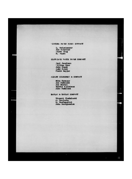## **WINTERS PAPER STOCK COMPANY**

L. Reigelmeyer Joe Spuckler Stove King B. Pagan

线线

**MARGER** 

CLEVELAND WASTE PAPER COMPANY

tite.

F,

Paul Jacobson 'llllan Rynr John Cheok Andy Oulak Frank Mayjar

ALBERT SILBERMAN & COMPANY

Mike Havacar Joe Budinaki Joe Naatal Morris Applebaum John Budlnski

KAPLAN & KAPLAN COMPANY

Vincent Chudzinaki A . Konjuria H . Muatzapitri John Doriguzziok